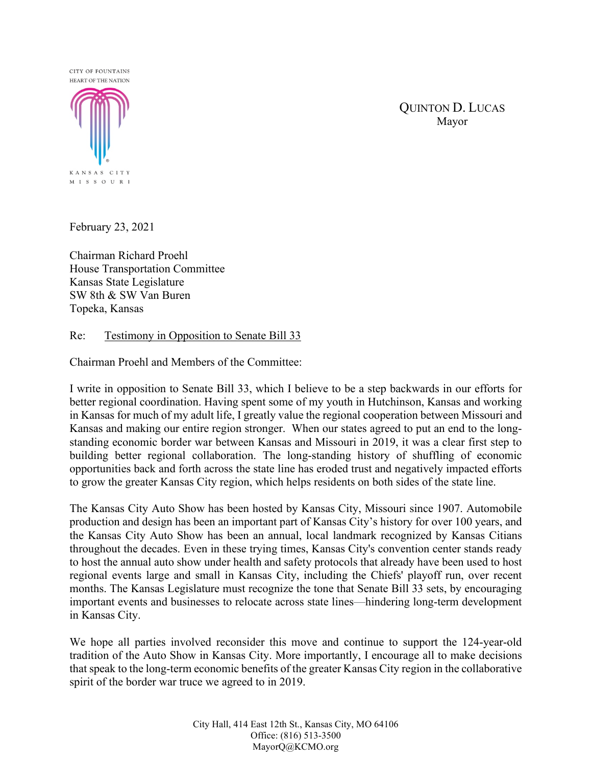## **CITY OF FOUNTAINS** HEART OF THE NATION



QUINTON D. LUCAS Mayor

February 23, 2021

Chairman Richard Proehl House Transportation Committee Kansas State Legislature SW 8th & SW Van Buren Topeka, Kansas

## Re: Testimony in Opposition to Senate Bill 33

Chairman Proehl and Members of the Committee:

I write in opposition to Senate Bill 33, which I believe to be a step backwards in our efforts for better regional coordination. Having spent some of my youth in Hutchinson, Kansas and working in Kansas for much of my adult life, I greatly value the regional cooperation between Missouri and Kansas and making our entire region stronger. When our states agreed to put an end to the longstanding economic border war between Kansas and Missouri in 2019, it was a clear first step to building better regional collaboration. The long-standing history of shuffling of economic opportunities back and forth across the state line has eroded trust and negatively impacted efforts to grow the greater Kansas City region, which helps residents on both sides of the state line.

The Kansas City Auto Show has been hosted by Kansas City, Missouri since 1907. Automobile production and design has been an important part of Kansas City's history for over 100 years, and the Kansas City Auto Show has been an annual, local landmark recognized by Kansas Citians throughout the decades. Even in these trying times, Kansas City's convention center stands ready to host the annual auto show under health and safety protocols that already have been used to host regional events large and small in Kansas City, including the Chiefs' playoff run, over recent months. The Kansas Legislature must recognize the tone that Senate Bill 33 sets, by encouraging important events and businesses to relocate across state lines—hindering long-term development in Kansas City.

We hope all parties involved reconsider this move and continue to support the 124-year-old tradition of the Auto Show in Kansas City. More importantly, I encourage all to make decisions that speak to the long-term economic benefits of the greater Kansas City region in the collaborative spirit of the border war truce we agreed to in 2019.

> City Hall, 414 East 12th St., Kansas City, MO 64106 Office: (816) 513-3500 MayorQ@KCMO.org